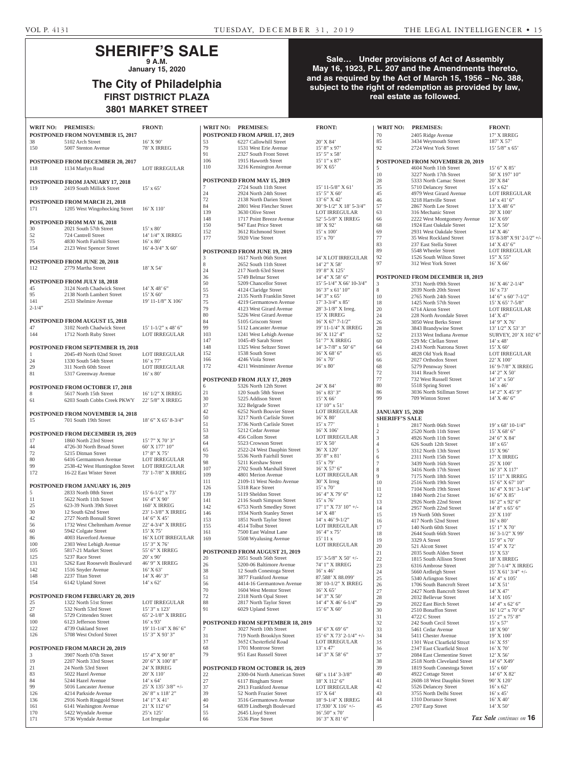## **SHERIFF'S SALE 9 A.M.**

**January 15, 2020**

# **The City of Philadelphia FIRST DISTRICT PLAZA 3801 MARKET STREET**

## **Sale… Under provisions of Act of Assembly May 16, 1923, P.L. 207 and the Amendments thereto, and as required by the Act of March 15, 1956 – No. 388, subject to the right of redemption as provided by law, real estate as followed.**

|             | WRIT NO: PREMISES:                         | <b>FRONT:</b>          | <b>WRIT NO:</b> | <b>PREMISES:</b>                                        | <b>FRONT:</b>                    | <b>WRIT NO:</b>         | <b>PREMISES:</b>                                 | <b>FRONT:</b>           |
|-------------|--------------------------------------------|------------------------|-----------------|---------------------------------------------------------|----------------------------------|-------------------------|--------------------------------------------------|-------------------------|
|             | POSTPONED FROM NOVEMBER 15, 2017           |                        |                 | POSTPONED FROM APRIL 17, 2019                           |                                  | 70                      | 2405 Ridge Avenue                                | 17' X IRF               |
| 38          | 5102 Arch Street                           | $16'$ X $90'$          | 53              | 6227 Callowhill Street                                  | 20' X 84'                        | 85                      | 3434 Weymouth Street                             | 187' X 57               |
| 150         | 5007 Stenton Avenue                        | 78' X IRREG            | 79<br>91        | 1531 West Erie Avenue                                   | $15'8''$ x 97'                   | 92                      | 2724 West York Street                            | $15'$ 5/8" x            |
|             |                                            |                        | 106             | 2327 South Front Street<br>1915 Haworth Street          | $15'$ 5" x 58"<br>$15'1''$ x 87' |                         |                                                  |                         |
|             | <b>POSTPONED FROM DECEMBER 20, 2017</b>    |                        | 110             | 3216 Kensington Avenue                                  | $16'$ X 65'                      |                         | <b>POSTPONED FROM NOVEMBER 20, 2019</b>          | 15' 6'' X               |
| 118         | 1134 Marlyn Road                           | <b>LOT IRREGULAR</b>   |                 |                                                         |                                  | 5<br>10                 | 4604 North 11th Street<br>3227 North 17th Street | 50' X 197               |
|             |                                            |                        |                 | POSTPONED FROM MAY 15, 2019                             |                                  | 28                      | 5333 North Camac Street                          | 20' X 84'               |
|             | POSTPONED FROM JANUARY 17, 2018            |                        |                 | 2724 South 11th Street                                  | 15' 11-5/8" X 61'                | 35                      | 5710 Delancey Street                             | $15'$ x 62'             |
| 119         | 2419 South Millick Street                  | $15'$ x 65'            | 24              | 2924 North 24th Street                                  | $15'$ 5" X 60"                   | 45                      | 4979 West Girard Avenue                          | <b>LOT IRR</b>          |
|             |                                            |                        | 72              | 2138 North Darien Street                                | 13' 6" X 42'                     | 46                      | 3218 Hartville Street                            | $14'$ x $41'$           |
|             | POSTPONED FROM MARCH 21, 2018              |                        | 84              | 2801 West Fletcher Street                               | 30' 9-1/2" X 18' 5-3/4"          | 57                      | 2867 North Lee Street                            | 13' X 48'               |
| 171         | 1205 West Wingohocking Street              | $16'$ X $110'$         | 139             | 3630 Olive Street                                       | LOT IRREGULAR                    | 63                      | 316 Mechanic Street                              | 20' X 100               |
|             |                                            |                        | 148             | 1717 Point Breeze Avenue                                | 52' 5-5/8" X IRREG               | 66                      | 2222 West Montgomery Avenue                      | 16' X 69'               |
|             | POSTPONED FROM MAY 16, 2018                |                        | 150             | 947 East Price Street                                   | 18' X 92'                        | 68                      | 1924 East Oakdale Street                         | 12' X 50'               |
| 30          | 2021 South 57th Street                     | $15' \times 80'$       | 152             | 3612 Richmond Street                                    | $15'$ x $100'$                   | 69                      | 2931 West Oakdale Street                         | 14' X 46'               |
| 52          | 724 Cantrell Street                        | 14' 1/4" X IRREG       | 177             | 5920 Vine Street                                        | $15'$ x $70'$                    | 77                      | 35 West Rockland Street                          | $15' 8 - 3/8'$          |
| 75          | 4830 North Fairhill Street                 | $16'$ x $80'$          |                 |                                                         |                                  | 83                      | 237 East Stella Street                           | 14' X 43'               |
| 154         | 2123 West Spencer Street                   | $16'$ 4-3/4" X 60'     |                 | POSTPONED FROM JUNE 19, 2019                            |                                  | 89                      | 5548 Wheeler Street                              | <b>LOT IRR</b>          |
|             |                                            |                        | 3               | 1617 North 06th Street                                  | <b>14' X LOT IRREGULAR</b>       | 92                      | 1526 South Wilton Street                         | 15" X 55"               |
|             | POSTPONED FROM JUNE 20, 2018               |                        | 8               | 2652 South 11th Street                                  | 14' 2" X 58'                     | 97                      | 312 West York Street                             | $16'$ X 66'             |
| 112         | 2779 Martha Street                         | 18' X 54'              | 24              | 217 North 63rd Street                                   | 19' 8" X 125'                    |                         |                                                  |                         |
|             |                                            |                        | 36              | 5749 Belmar Street                                      | 14' 4" X 58' 6"                  |                         | POSTPONED FROM DECEMBER 18, 2019                 |                         |
|             | POSTPONED FROM JULY 18, 2018               |                        | 50              | 5209 Chancellor Street                                  | 15' 5-1/4" X 66' 10-3/4"         | 3                       | 3731 North 09th Street                           | 16' X 46'               |
| 45          | 3124 North Chadwick Street                 | $14'$ X 48' 6"         | 55              | 4124 Claridge Street                                    | $16'$ 3" x 61' $10''$            | 8                       | 2039 North 20th Street                           | $16'$ x 73'             |
| 95          | 2138 North Lambert Street                  | 15' X 60'              | 73              | 2135 North Franklin Street                              | $14'3''$ x 65'                   | 10                      | 2765 North 24th Street                           | 14' 6''  x 6            |
| 141         | 2533 Shelmire Avenue                       | 19' 11-1/8" X 106'     | 75              | 4219 Germantown Avenue                                  | $17'$ 3-3/4" x 85'               | 18                      | 1425 North 57th Street                           | 15' X 65'               |
| $2 - 1/4$ " |                                            |                        | 79              | 4123 West Girard Avenue                                 | 28' 3-1/8" X Irreg.              | 20                      | 6714 Akron Street                                | <b>LOT IRR</b>          |
|             |                                            |                        | 80              | 5226 West Girard Avenue                                 | 15' X IRREG                      | 24                      | 228 North Avondale Street                        | 14' X 47'               |
|             | POSTPONED FROM AUGUST 15, 2018             |                        | 84              | 5105 Griscom Street                                     | $16'$ X $67'$ 7-1/2"             | 26                      | 3050 West Berks Street                           | 14' 9" X                |
| 47          | 3102 North Chadwick Street                 | $15'$ 1-1/2" x 48' 6"  | 99              | 5112 Lancaster Avenue                                   | 19' 11-1/4" X IRREG              | 28                      | 3843 Brandywine Street                           | $13'$ $1/2''$ $\lambda$ |
| 144         | 1712 North Ruby Street                     | <b>LOT IRREGULAR</b>   | 103             | 1241 West Lehigh Avenue                                 | 16' X 112' 4"                    | 52                      | 2133 West Indiana Avenue                         | <b>SURVEY</b>           |
|             |                                            |                        | 147             | 1045-49 Sarah Street                                    | 51' 7" X IRREG                   | 60                      | 529 Mc Clellan Street                            | $14'$ x $48'$           |
|             | POSTPONED FROM SEPTEMBER 19, 2018          |                        | 148             | 1325 West Seltzer Street                                | $14'$ 3-7/8" x 50' 6"            | 64                      | 2143 North Natrona Street                        | 15' X 60'               |
| 1           | 2045-49 North 02nd Street                  | <b>LOT IRREGULAR</b>   | 152             | 1538 South Street                                       | $16'$ X 68' 6"                   | 65                      | 4828 Old York Road                               | <b>LOT IRR</b>          |
| 24          | 1330 South 54th Street                     | $16'$ x $77'$          | 166             | 4246 Viola Street                                       | $16'$ x $70'$                    | 66                      | 2027 Orthodox Street                             | 22' X 100               |
| 29          | 311 North 60th Street                      | <b>LOT IRREGULAR</b>   | 172             | 4211 Westminster Avenue                                 | $16'$ x $80'$                    | 68                      | 5279 Pennway Street                              | $16'$ 9-7/8'            |
| 81          | 5317 Greenway Avenue                       | $16'$ x $80'$          |                 |                                                         |                                  | 72                      | 3141 Reach Street                                | $14'$ 2" X :            |
|             |                                            |                        |                 | POSTPONED FROM JULY 17, 2019                            |                                  | 77                      | 732 West Russell Street                          | $14'3''$ x 5            |
|             | POSTPONED FROM OCTOBER 17, 2018            |                        | 6               | 5326 North 12th Street                                  | 24' X 84'                        | 80                      | 5518 Spring Street                               | $16'$ x $46'$           |
| 8           | 5617 North 15th Street                     | 16' 1/2" X IRREG       | 21              | 120 South 58th Street                                   | $16'$ x 83' 3"                   | 86                      | 3036 North Stillman Street                       | 14' 2" X 4              |
| 61          | 6203 South Cobbs Creek PKWY                | 22' 5/8" X IRREG       | 30              | 5225 Addison Street                                     | 15' X 66'                        | 99                      | 709 Winton Street                                | 14' X 46'               |
|             |                                            |                        | 37              | 322 Belgrade Street                                     | 13' 10" x 51'                    |                         |                                                  |                         |
|             | POSTPONED FROM NOVEMBER 14, 2018           |                        | 42<br>50        | 6252 North Bouvier Street<br>3217 North Carlisle Street | LOT IRREGULAR<br>16' X 80'       | <b>JANUARY 15, 2020</b> |                                                  |                         |
| 15          | 701 South 19th Street                      | 18' 6" X 65' 8-3/4"    | 51              | 3736 North Carlisle Street                              | $15'$ x $77'$                    | <b>SHERIFF'S SALE</b>   |                                                  |                         |
|             |                                            |                        | 53              | 5212 Cedar Avenue                                       | $16'$ X $106'$                   | 1                       | 2817 North 06th Street                           | $19'$ x 68'             |
|             | POSTPONED FROM DECEMBER 19, 2019           |                        | 58              | 456 Collom Street                                       | LOT IRREGULAR                    | $\sqrt{2}$<br>3         | 2520 North 11th Street                           | 15' X 68'<br>24' 6" X 8 |
| 17          | 1860 North 23rd Street                     | 15' 7" X 70' 3"        | 64              | 5523 Crowson Street                                     | $15'$ X 50'                      | $\overline{4}$          | 4926 North 11th Street                           | $18'$ x 65'             |
| 44          | 4726-30 North Broad Street                 | 60' X 177' 10"         | 65              | 2522-24 West Dauphin Street                             | 36' X 120'                       | 5                       | 626 South 12th Street<br>3312 North 13th Street  | 15' X 96'               |
| 72          | 5215 Ditman Street                         | 17' 8" X 75'           | 70              | 5536 North Fairhill Street                              | $35'8''$ x 81'                   | 6                       | 2311 North 15th Street                           | <b>17' X IRF</b>        |
| 80          | 6416 Germantown Avenue                     | LOT IRREGULAR          | 98              | 5211 Kershaw Street                                     | $15'$ x 79'                      | $\tau$                  | 3439 North 16th Street                           | 25' X 100               |
| 99          | 2538-42 West Huntingdon Street             | <b>LOT IRREGULAR</b>   | 107             | 2702 South Marshall Street                              | $16'$ X 57' 6"                   | 8                       | 3416 North 17th Street                           | $16'3''$ X 1            |
| 172         | 16-22 East Wister Street                   | 73' 1-7/8" X IRREG     | 109             | 4801 Merion Avenue                                      | <b>LOT IRREGULAR</b>             | 9                       | 7175 North 18th Street                           | 15' 11" X               |
|             |                                            |                        | 111             | 2109-11 West Nedro Avenue                               | $30'$ X Irreg                    | 10                      | 2516 North 19th Street                           | 15' 6'' X 6             |
|             | POSTPONED FROM JANUARY 16, 2019            |                        | 126             | 5318 Race Street                                        | $15'$ x $70'$                    | 11                      | 7104 North 19th Street                           | 16' 4'' X               |
| 5           | 2833 North 08th Street                     | $15' 6 - 1/2'' $ x 73' | 139             | 5119 Sheldon Street                                     | $16'$ 4" X 79' 6"                | 12                      | 1840 North 21st Street                           | 16' 6'' X               |
| 11          | 5622 North 11th Street                     | 16' 4'' X 90'          | 141             | 2116 South Simpson Street                               | $15'$ x $76'$                    | 13                      | 2926 North 22nd Street                           | $16'$ 2" x 9            |
| 25          | 623-39 North 39th Street                   | 160' X IRREG           | 142             | 6753 North Smedley Street                               | $17'$ 1" X 73' 10" +/-           | 14                      | 2957 North 22nd Street                           | $14'8''$ x 6            |
| 30          | 12 South 62nd Street                       | 23' 1-3/8" X IRREG     | 146             | 1934 North Stanley Street                               | $14'$ X 48'                      | 15                      | 19 North 50th Street                             | 23' X 110               |
| 42          | 2727 North Bonsall Street                  | 14' 6'' X 45'          | 153             | 1851 North Taylor Street                                | $14'$ x 46' 9-1/2"               | 16                      | 417 North 52nd Street                            | $16'$ x $80'$           |
| 56          | 1732 West Cheltenham Avenue                | 22' 4-3/4" X IRREG     | 155             | 4514 Tolbut Street                                      | LOT IRREGULAR                    | 17                      | 140 North 60th Street                            | $15'1''$ X 7            |
| 60          | 5942 Colgate Street                        | $15'$ X $75'$          | 161             | 7500 East Walnut Lane                                   | $16'$ 4" x 75'                   | 18                      | 2644 South 66th Street                           | $16'$ 3- $1/2'$         |
| 86          | 4003 Haverford Avenue                      | 16' X LOT IRREGULAR    | 169             | 5508 Wyalusing Avenue                                   | 15' 11 x                         | 19                      | 3329 A Street                                    | $15'$ 9" x 7            |
| 100         | 2303 West Lehigh Avenue                    | 15' 3" X 76'           |                 |                                                         | <b>LOT IRREGULAR</b>             | 20                      | 521 Alcott Street                                | 15' 4" X 7              |
| 105         | 5817-21 Market Street                      | 55' 6" X IRREG         |                 | POSTPONED FROM AUGUST 21, 2019                          |                                  | 21                      | 2035 South Alden Street                          | 15' X 53'               |
| 125         | 5237 Race Street                           | $20'$ x 90'            | 20              | 2051 South 56th Street                                  | $15'$ 3-5/8" X 50' +/-           | 22                      | 1815 South Allison Street                        | <b>18' X IRF</b>        |
| 131         | 5262 East Roosevelt Boulevard              | 46' 9" X IRREG         | 26              | 5200-06 Baltimore Avenue                                | 74' 1" X IRREG                   | 23                      | 6316 Ambrose Street                              | $20'7 - 1/4'$           |
| 142         | 1516 Snyder Avenue                         | $16'$ X 63'            | 38              | 12 South Conestoga Street                               | $16'$ x $46'$                    | 24                      | 5660 Ardleigh Street                             | 15' X 61'               |
| 148         | 2237 Titan Street                          | 14' X 46' 3"           | 51              | 3877 Frankford Avenue                                   | 87.588' X 88.099'                | 25                      | 5340 Arlington Street                            | $16' 4''$ x 1           |
| 154         | 6142 Upland Street                         | $14'$ x 62'            | 56              | 4414-16 Germantown Avenue                               | 38' 10-1/2" X IRREG              | 26                      | 1706 South Bancroft Street                       | $14'$ X 51'             |
|             |                                            |                        | 70              | 1604 West Mentor Street                                 | $16'$ X 65'                      | 27                      | 2427 North Bancroft Street                       | 14' X 47'               |
|             | <b>POSTPONED FROM FEBRUARY 20, 2019</b>    |                        | $72\,$          | 2318 North Opal Street                                  | 14' 3" X 50'                     | 28                      | 2032 Bellevue Street                             | 14' X 105               |
| 25          | 1322 North 51st Street                     | <b>LOT IRREGULAR</b>   | 88              | 2817 North Taylor Street                                | $14'$ 4" X 46' 6-1/4"            | 29                      | 2022 East Birch Street                           | 14' 4''  x 6            |
| 27          | 532 North 53rd Street                      | 15' 3" x 123'          | 91              | 6029 Upland Street                                      | 15' 6'' X 60'                    | 30                      | 2510 Bonaffon Street                             | $16'$ $1/2"$ x          |
| 68          | 5729 Crittenden Street                     | 65' 2-1/8" X IRREG     |                 |                                                         |                                  | 31                      | 4722 C Street                                    | $15'$ 2" x 7            |
| 100         | 6123 Jefferson Street                      | $16'$ x 93'            |                 | <b>POSTPONED FROM SEPTEMBER 18, 2019</b>                |                                  | 32                      | 242 South Cecil Street                           | $15' \times 57'$        |
| 122         | 4739 Oakland Street                        | 19' 11-1/4" X 86' 6"   | 7               | 3027 North 10th Street                                  | $14'$ 6" X 69' 6"                | 33                      | 5461 Cedar Avenue                                | 18' X 90'               |
| 126         | 5708 West Oxford Street                    | 15' 3" X 93' 3"        | 31              | 719 North Brooklyn Street                               | 15' 6" X 73' 2-1/4" +/-          | 34                      | 5411 Chester Avenue                              | 19' X 100               |
|             |                                            |                        | 37              | 3652 Chesterfield Road                                  | LOT IRREGULAR                    | 35                      | 1301 West Clearfield Street                      | $16'$ X 55'             |
|             | POSTPONED FROM MARCH 20, 2019              |                        | 68              | 1701 Montrose Street                                    | $13'$ x 47'                      | 36                      | 2347 East Clearfield Street                      | $16'$ X 70'             |
| 3           | 3907 North 07th Street                     | 15' 4" X 90' 8"        | 79              | 951 East Russell Street                                 | 14' 3" X 58' 6"                  | 37                      | 2084 East Clementine Street                      | 12' X 56'               |
| 19          | 2207 North 33rd Street                     | 20' 6" X 100' 8"       |                 |                                                         |                                  | 38                      | 2518 North Cleveland Street                      | 14' 6" X4               |
| 21          | 24 North 53rd Street                       | 24' X IRREG            |                 | POSTPONED FROM OCTOBER 16, 2019                         |                                  | 39                      | 1819 South Conestoga Street                      | $15' \times 60'$        |
| 83          | 5022 Hazel Avenue                          | 20' X 110'             | 22              | 2300-04 North American Street                           | 68' x 114' 3-3/8"                | 40                      | 4922 Cottage Street                              | 14' 6" X 8              |
| 84          | 5244 Hazel Avenue                          | $14'$ x 64'            | 27              | 6117 Bingham Street                                     | 18' X 112' 6"                    | 41                      | 2608-18 West Dauphin Street                      | 90' X 120               |
| 99          | 5016 Lancaster Avenue                      | 25' X 135' 3/8" +/-    | 37              | 2913 Frankford Avenue                                   | LOT IRREGULAR                    | 42                      | 5526 Delancey Street                             | $16'$ x 62'             |
| 126         | 4214 Parkside Avenue                       | 26' 8" x 118' 2"       | 39              | 52 North Frazier Street                                 | $15'$ X 64'                      | 43                      | 3755 North Delhi Street                          | $16'$ x $45'$           |
| 136         | 2916 North Ringgold Street                 | 14' 1" X 41'           | 40              | 3516 Germantown Avenue                                  | 18' 9-1/4" X IRREG               | 44                      | 1310 Dorrance Street                             | 16' X 40'               |
| 161         | 6141 Washington Avenue                     | 21' X 112' 6"          | 54              | 6839 Lindbergh Boulevard                                | 17.930' X 116' +/-               | 45                      | 2707 Earp Street                                 | 14' X 50'               |
| 170         | 5422 Wyndale Avenue<br>5736 Wyndale Avenue | 25'x 125'              | 55              | 2645 Lloyd Street                                       | $16'$ .50" x 70"                 |                         |                                                  | Tax Sale contin         |
| 171         |                                            | Lot Irregular          | 66              | 5536 Pine Street                                        | 16' 3" X 81' 6"                  |                         |                                                  |                         |

| WRIT NO:   | <b>PREMISES:</b>                                          | <b>FRONT:</b>                                |
|------------|-----------------------------------------------------------|----------------------------------------------|
|            | POSTPONED FROM APRIL 17, 2019                             |                                              |
| 53         | 6227 Callowhill Street                                    | 20' X 84'                                    |
| 79         | 1531 West Erie Avenue                                     | $15' 8''$ x 97'                              |
| 91         | 2327 South Front Street                                   | $15'$ 5" x 58'                               |
| 106        | 1915 Haworth Street                                       | $15'1''$ x 87'                               |
| 110        | 3216 Kensington Avenue                                    | $16'$ X 65'                                  |
|            |                                                           |                                              |
|            | POSTPONED FROM MAY 15, 2019                               |                                              |
| 7          | 2724 South 11th Street                                    | $15'$ 11-5/8" X 61"                          |
| 24         | 2924 North 24th Street                                    | $15'5''$ X 60'                               |
| 72<br>84   | 2138 North Darien Street<br>2801 West Fletcher Street     | 13' 6'' X 42'<br>30' 9-1/2" X 18' 5-3/4"     |
| 139        | 3630 Olive Street                                         | <b>LOT IRREGULAR</b>                         |
| 148        | 1717 Point Breeze Avenue                                  | 52' 5-5/8" X IRREG                           |
| 150        | 947 East Price Street                                     | 18' X 92'                                    |
| 152        | 3612 Richmond Street                                      | $15' \times 100'$                            |
| 177        | 5920 Vine Street                                          | $15' \times 70'$                             |
|            |                                                           |                                              |
|            | POSTPONED FROM JUNE 19, 2019                              |                                              |
| 3          | 1617 North 06th Street                                    | 14' X LOT IRREGULAR                          |
| 8          | 2652 South 11th Street                                    | 14' 2" X 58'                                 |
| 24         | 217 North 63rd Street                                     | 19' 8" X 125'                                |
| 36         | 5749 Belmar Street                                        | 14' 4" X 58' 6"                              |
| 50<br>55   | 5209 Chancellor Street<br>4124 Claridge Street            | 15' 5-1/4" X 66' 10-3/4"<br>16' 3" x 61' 10" |
| 73         | 2135 North Franklin Street                                | $14'3''$ x 65'                               |
| 75         | 4219 Germantown Avenue                                    | $17'$ 3-3/4" x 85'                           |
| 79         | 4123 West Girard Avenue                                   | 28' 3-1/8" X Irreg.                          |
| 80         | 5226 West Girard Avenue                                   | 15' X IRREG                                  |
| 84         | 5105 Griscom Street                                       | $16'$ X $67'$ 7- $1/2''$                     |
| 99         | 5112 Lancaster Avenue                                     | 19' 11-1/4" X IRREG                          |
| 103        | 1241 West Lehigh Avenue                                   | 16' X 112' 4"                                |
| 147        | 1045-49 Sarah Street                                      | 51' 7" X IRREG                               |
| 148        | 1325 West Seltzer Street                                  | 14' 3-7/8" x 50' 6"                          |
| 152        | 1538 South Street                                         | $16'$ X 68' 6"                               |
| 166<br>172 | 4246 Viola Street<br>4211 Westminster Avenue              | $16'$ x $70'$<br>$16'$ x $80'$               |
|            |                                                           |                                              |
|            | POSTPONED FROM JULY 17, 2019                              |                                              |
| 6          | 5326 North 12th Street                                    | 24' X 84'                                    |
| 21         | 120 South 58th Street                                     | $16'$ x $83'$ 3"                             |
| 30         | 5225 Addison Street                                       | 15' X 66'                                    |
| 37         | 322 Belgrade Street                                       | $13'$ 10" x 51'                              |
| 42         | 6252 North Bouvier Street                                 | <b>LOT IRREGULAR</b>                         |
| 50         | 3217 North Carlisle Street                                | $16'$ X $80'$                                |
| 51         | 3736 North Carlisle Street                                | $15'$ x $77'$                                |
| 53         | 5212 Cedar Avenue                                         | 16' X 106'                                   |
| 58         | 456 Collom Street                                         | LOT IRREGULAR                                |
| 64         | 5523 Crowson Street                                       | $15'$ X 50'                                  |
| 65<br>70   | 2522-24 West Dauphin Street<br>5536 North Fairhill Street | 36' X 120'<br>35' 8" x 81'                   |
| 98         | 5211 Kershaw Street                                       | $15'$ x 79'                                  |
| 107        | 2702 South Marshall Street                                | 16' X 57' 6"                                 |
| 109        | 4801 Merion Avenue                                        | LOT IRREGULAR                                |
| 111        | 2109-11 West Nedro Avenue                                 | 30' X Irreg                                  |
| 126        | 5318 Race Street                                          | 15' x 70'                                    |
| 139        | 5119 Sheldon Street                                       | 16' 4" X 79' 6"                              |
| 141        | 2116 South Simpson Street                                 | 15' x 76'                                    |
| 142        | 6753 North Smedley Street                                 | 17' 1" X 73' 10" +/-<br>14' X 48'            |
| 146<br>153 | 1934 North Stanley Street<br>1851 North Taylor Street     | $14'$ x $46'$ 9- $1/2"$                      |
| 155        | 4514 Tolbut Street                                        | <b>LOT IRREGULAR</b>                         |
| 161        | 7500 East Walnut Lane                                     | $16'$ 4" x 75"                               |
| 169        | 5508 Wyalusing Avenue                                     | $15'$ 11 x                                   |
|            |                                                           | <b>LOT IRREGULAR</b>                         |
|            | <b>POSTPONED FROM AUGUST 21, 2019</b>                     |                                              |
| 20         | 2051 South 56th Street                                    | $15'$ 3-5/8" X 50' +/-                       |
| 26         | 5200-06 Baltimore Avenue                                  | 74' 1" X IRREG                               |
| 38<br>51   | 12 South Conestoga Street<br>3877 Frankford Avenue        | $16'$ x $46'$<br>87.588' X 88.099'           |
| 56         | 4414-16 Germantown Avenue                                 | 38' 10-1/2" X IRREG                          |
| 70         | 1604 West Mentor Street                                   | 16' X 65'                                    |
| 72         | 2318 North Opal Street                                    | 14' 3" X 50'                                 |
| 88         | 2817 North Taylor Street                                  | 14' 4" X 46' 6-1/4"                          |
| 91         | 6029 Upland Street                                        | 15' 6" X 60'                                 |
|            |                                                           |                                              |
|            | <b>POSTPONED FROM SEPTEMBER 18, 2019</b>                  |                                              |
| 7          | 3027 North 10th Street                                    | 14' 6" X 69' 6"                              |
| 31         | 719 North Brooklyn Street                                 | 15' 6" X 73' 2-1/4" +/-                      |
| 37<br>68   | 3652 Chesterfield Road<br>1701 Montrose Street            | <b>LOT IRREGULAR</b><br>$13'$ x 47'          |
| 79         | 951 East Russell Street                                   | 14' 3" X 58' 6"                              |
|            |                                                           |                                              |
|            | POSTPONED FROM OCTOBER 16, 2019                           |                                              |
| 22         | 2300-04 North American Street                             | 68' x 114' 3-3/8"                            |
| 27         | 6117 Bingham Street                                       | 18' X 112' 6"                                |
| 37         | 2913 Frankford Avenue                                     | <b>LOT IRREGULAR</b>                         |
| 39         | 52 North Frazier Street                                   | 15' X 64'                                    |
| 40         | 3516 Germantown Avenue                                    | 18' 9-1/4" X IRREG                           |
| 54         | 6839 Lindbergh Boulevard                                  | 17.930' X 116' +/-                           |
| 55         | 2645 Lloyd Street                                         | $16'$ .50" x 70"                             |
| 66         | 5536 Pine Street                                          | 16' 3" X 81' 6"                              |

| IT:                             |                         | WRIT NO: PREMISES:                                   |
|---------------------------------|-------------------------|------------------------------------------------------|
|                                 | 70                      | 2405 Ridge Avenue                                    |
| 34'                             | 85                      | 3434 Weymouth Street                                 |
| x 97'                           | 92                      | 2724 West York Street                                |
| x 58'                           |                         |                                                      |
| x 87'                           |                         | <b>POSTPONED FROM NOVEMBER 2</b>                     |
| 55'                             | 5                       | 4604 North 11th Street                               |
|                                 | 10                      | 3227 North 17th Street                               |
|                                 | 28                      | 5333 North Camac Street                              |
| 5/8" X 61'<br>$X$ 60'           | 35<br>45                | 5710 Delancey Street<br>4979 West Girard Avenue      |
| $X$ 42'                         | 46                      | 3218 Hartville Street                                |
| /2" X 18' 5-3/4"                | 57                      | 2867 North Lee Street                                |
| RREGULAR                        | 63                      | 316 Mechanic Street                                  |
| /8" X IRREG                     | 66                      | 2222 West Montgomery                                 |
| 12'                             | 68                      | 1924 East Oakdale Street                             |
| 00'                             | 69                      | 2931 West Oakdale Stree                              |
| $0^{\circ}$                     | 77                      | 35 West Rockland Street                              |
|                                 | 83                      | 237 East Stella Street                               |
|                                 | 89                      | 5548 Wheeler Street                                  |
| OT IRREGULAR                    | 92                      | 1526 South Wilton Street                             |
| X 58'                           | 97                      | 312 West York Street                                 |
| $X$ 125'                        |                         |                                                      |
| X 58' 6"                        |                         | <b>POSTPONED FROM DECEMBER 1</b>                     |
| /4" X 66' 10-3/4"<br>x 61' 10'' | 3<br>8                  | 3731 North 09th Street<br>2039 North 20th Street     |
| x 65'                           | 10                      | 2765 North 24th Street                               |
| /4" x 85'                       | 18                      | 1425 North 57th Street                               |
| $/8$ " X Irreg.                 | 20                      | 6714 Akron Street                                    |
| RREG                            | 24                      | 228 North Avondale Stree                             |
| $57'$ 7-1/2"                    | 26                      | 3050 West Berks Street                               |
| $1/4$ " X IRREG                 | 28                      | 3843 Brandywine Street                               |
| $12'$ 4"                        | 52                      | 2133 West Indiana Avenu                              |
| X IRREG                         | 60                      | 529 Mc Clellan Street                                |
| $/8$ " x 50' 6"                 | 64                      | 2143 North Natrona Stree                             |
| 58' 6''                         | 65                      | 4828 Old York Road                                   |
| 0,                              | 66                      | 2027 Orthodox Street                                 |
| 0,                              | 68                      | 5279 Pennway Street                                  |
|                                 | 72                      | 3141 Reach Street                                    |
|                                 | 77<br>80                | 732 West Russell Street                              |
| }4'<br>3'3'                     | 86                      | 5518 Spring Street<br>3036 North Stillman Stre       |
| $6^{\circ}$                     | 99                      | 709 Winton Street                                    |
| x 51'                           |                         |                                                      |
| RREGULAR                        | <b>JANUARY 15, 2020</b> |                                                      |
| 30'                             | <b>SHERIFF'S SALE</b>   |                                                      |
| 7'                              | 1                       | 2817 North 06th Street                               |
| 06'                             | $\overline{2}$          | 2520 North 11th Street                               |
| RREGULAR                        | 3                       | 4926 North 11th Street                               |
| 50'                             | 4                       | 626 South 12th Street                                |
| 20'                             | 5                       | 3312 North 13th Street                               |
| x 81'<br>9,                     | 6                       | 2311 North 15th Street                               |
| 57'6''                          | 7                       | 3439 North 16th Street                               |
| RREGULAR                        | 8                       | 3416 North 17th Street                               |
| rreg                            | 9<br>10                 | 7175 North 18th Street<br>2516 North 19th Street     |
| 0'                              | 11                      | 7104 North 19th Street                               |
| X 79' 6''                       | 12                      | 1840 North 21st Street                               |
| 6'                              | 13                      | 2926 North 22nd Street                               |
| X 73' 10" +/-                   | 14                      | 2957 North 22nd Street                               |
| l8'                             | 15                      | 19 North 50th Street                                 |
| 6' 9-1/2''                      | 16                      | 417 North 52nd Street                                |
| RREGULAR                        | 17                      | 140 North 60th Street                                |
| x 75'                           | 18                      | 2644 South 66th Street                               |
| X<br>RREGULAR                   | 19                      | 3329 A Street                                        |
|                                 | 20                      | 521 Alcott Street                                    |
| /8" X 50' +/-                   | 21<br>22                | 2035 South Alden Street<br>1815 South Allison Street |
| X IRREG                         | 23                      | 6316 Ambrose Street                                  |
| 6'                              | 24                      | 5660 Ardleigh Street                                 |
| 'X 88.099'                      | 25                      | 5340 Arlington Street                                |
| $1/2$ " X IRREG                 | 26                      | 1706 South Bancroft Stre                             |
| 55'                             | 27                      | 2427 North Bancroft Stre                             |
| X 50'                           | 28                      | 2032 Bellevue Street                                 |
| X 46' 6-1/4''                   | 29                      | 2022 East Birch Street                               |
| X 60'                           | 30                      | 2510 Bonaffon Street                                 |
|                                 | 31                      | 4722 C Street                                        |
|                                 | 32                      | 242 South Cecil Street                               |
| X 69'6''                        | 33                      | 5461 Cedar Avenue                                    |
| X 73' 2-1/4'' +/-<br>RREGULAR   | 34<br>35                | 5411 Chester Avenue<br>1301 West Clearfield Stre     |
| 7'                              | 36                      | 2347 East Clearfield Stree                           |
| X 58' 6"                        | 37                      | 2084 East Clementine Str                             |
|                                 | 38                      | 2518 North Cleveland Str                             |
|                                 | 39                      | 1819 South Conestoga St                              |
| 14' 3-3/8"                      | 40                      | 4922 Cottage Street                                  |
| 12'6''                          | 41                      | 2608-18 West Dauphin St                              |
| RREGULAR                        | 42                      | 5526 Delancey Street                                 |
| 54'                             | 43                      | 3755 North Delhi Street                              |
| /4" X IRREG                     | 44                      | 1310 Dorrance Street                                 |
| $'$ X 116' +/-                  | 45                      | 2707 Earp Street                                     |

|              | <b>FRONT:</b>                         |
|--------------|---------------------------------------|
|              | 17' X IRREG                           |
|              | 187' X 57'<br>15' 5/8" x 65'          |
|              |                                       |
| 20, 2019     |                                       |
|              | 15' 6" X 85'                          |
|              | 50' X 197' 10"<br>20' X 84'           |
| t            | 15' x 62'                             |
| C            | <b>LOT IRREGULAR</b>                  |
|              | $14'$ x $41'$ 6"                      |
|              | 13' X 48' 6''                         |
| Avenue       | 20' X 100'<br>16' X 69'               |
| j            | $12'$ X 50'                           |
| t            | 14' X 46'                             |
|              | 15' 8-3/8" X 91' 2-1/2" +             |
|              | 14' X 43' 6"                          |
| į            | <b>LOT IRREGULAR</b><br>15" X 55"     |
|              | 16' X 66'                             |
|              |                                       |
| 18, 2019     |                                       |
|              | 16' X 46' 2-1/4"                      |
|              | 16' x 73'<br>14' 6" x 60' 7-1/2"      |
|              | 15' X 65' 7-5/8"                      |
|              | LOT IRREGULAR                         |
| et           | 14' X 47'                             |
|              | 14' 9" X 76'                          |
|              | 13' 1/2" X 53' 3"                     |
| ıe           | SURVEY, 20' X 102' 6<br>$14'$ x $48'$ |
| эt           | 15' X 60'                             |
|              | LOT IRREGULAR                         |
|              | 22' X 100'                            |
|              | 16' 9-7/8" X IRREG                    |
|              | 14' 2" X 50'<br>14' 3" x 50'          |
|              | $16'$ x $46'$                         |
| et           | 14' 2" X 45' 9"                       |
|              | 14' X 46' 6"                          |
|              |                                       |
|              |                                       |
|              | 19' x 68' 10-1/4"                     |
|              | 15' X 68' 6"                          |
|              | 24' 6" X 84'                          |
|              | 18' x 65'                             |
|              | 15' X 96'                             |
|              | 17' X IRREG<br>25' X 100'             |
|              | 16' 3" X 117'                         |
|              | 15' 11" X IRREG                       |
|              | 15' 6" X 67' 10"                      |
|              | 16' 4" X 91' 3-1/4"                   |
|              | 16' 6" X 85'<br>16' 2" x 92' 6"       |
|              | 14' 8" x 65' 6"                       |
|              | 23' X 110'                            |
|              | 16' x 80'                             |
|              | 15' 1" X 70'                          |
|              | 16' 3-1/2" X 99'                      |
|              | 15' 9" x 70'<br>15' 4" X 72'          |
|              | 15' X 53'                             |
| t            | 18' X IRREG                           |
|              | 20' 7-1/4" X IRREG                    |
|              | $15'$ X 61' 3/4" +/-                  |
| et           | 16' 4" x 105'<br>$14'$ X 51'          |
| et:          | 14' X 47'                             |
|              | 14' X 105'                            |
|              | 14' 4" x 62' 6"                       |
|              | 16' 1/2" x 70' 6"                     |
|              | 15' 2" x 75' 8"<br>$15'$ x 57'        |
|              | 18' X 90'                             |
|              | 19' X 100'                            |
| eet          | 16' X 55'                             |
| et           | $16'$ X $70'$                         |
| reet<br>reet | 12' X 56'<br>14' 6" X49'              |
| reet         | $15'$ x 60'                           |
|              | 14' 6" X 82'                          |
| treet        | 90' X 120'                            |
|              | $16'$ x $62'$                         |
|              | $16'$ x $45'$                         |
|              | 16' X 40'<br>$14'$ X 50'              |
|              |                                       |

*Tax Sale continues on* **16**